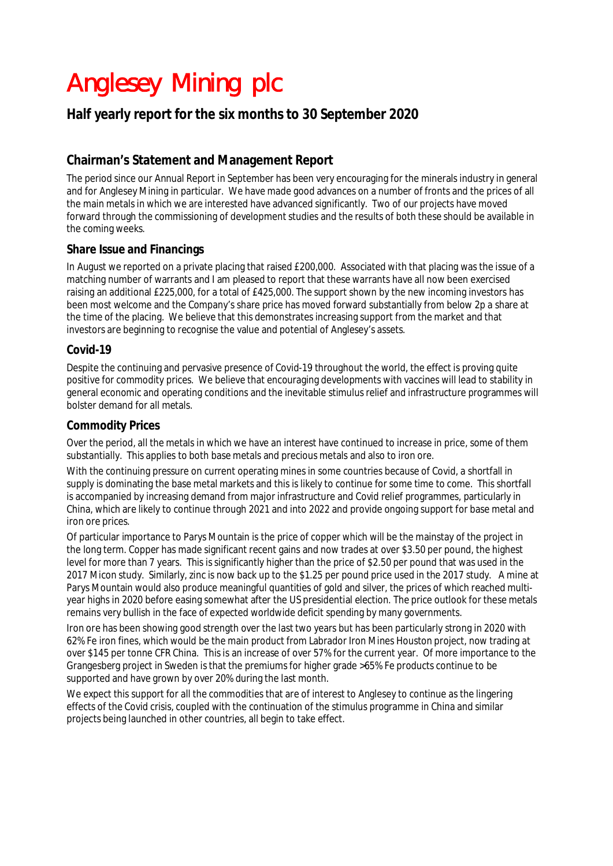## Anglesey Mining plc

## **Half yearly report for the six months to 30 September 2020**

## **Chairman's Statement and Management Report**

The period since our Annual Report in September has been very encouraging for the minerals industry in general and for Anglesey Mining in particular. We have made good advances on a number of fronts and the prices of all the main metals in which we are interested have advanced significantly. Two of our projects have moved forward through the commissioning of development studies and the results of both these should be available in the coming weeks.

## **Share Issue and Financings**

In August we reported on a private placing that raised £200,000. Associated with that placing was the issue of a matching number of warrants and I am pleased to report that these warrants have all now been exercised raising an additional £225,000, for a total of £425,000. The support shown by the new incoming investors has been most welcome and the Company's share price has moved forward substantially from below 2p a share at the time of the placing. We believe that this demonstrates increasing support from the market and that investors are beginning to recognise the value and potential of Anglesey's assets.

## **Covid-19**

Despite the continuing and pervasive presence of Covid-19 throughout the world, the effect is proving quite positive for commodity prices. We believe that encouraging developments with vaccines will lead to stability in general economic and operating conditions and the inevitable stimulus relief and infrastructure programmes will bolster demand for all metals.

## **Commodity Prices**

Over the period, all the metals in which we have an interest have continued to increase in price, some of them substantially. This applies to both base metals and precious metals and also to iron ore.

With the continuing pressure on current operating mines in some countries because of Covid, a shortfall in supply is dominating the base metal markets and this is likely to continue for some time to come. This shortfall is accompanied by increasing demand from major infrastructure and Covid relief programmes, particularly in China, which are likely to continue through 2021 and into 2022 and provide ongoing support for base metal and iron ore prices.

Of particular importance to Parys Mountain is the price of copper which will be the mainstay of the project in the long term. Copper has made significant recent gains and now trades at over \$3.50 per pound, the highest level for more than 7 years. This is significantly higher than the price of \$2.50 per pound that was used in the 2017 Micon study. Similarly, zinc is now back up to the \$1.25 per pound price used in the 2017 study. A mine at Parys Mountain would also produce meaningful quantities of gold and silver, the prices of which reached multiyear highs in 2020 before easing somewhat after the US presidential election. The price outlook for these metals remains very bullish in the face of expected worldwide deficit spending by many governments.

Iron ore has been showing good strength over the last two years but has been particularly strong in 2020 with 62% Fe iron fines, which would be the main product from Labrador Iron Mines Houston project, now trading at over \$145 per tonne CFR China. This is an increase of over 57% for the current year. Of more importance to the Grangesberg project in Sweden is that the premiums for higher grade >65% Fe products continue to be supported and have grown by over 20% during the last month.

We expect this support for all the commodities that are of interest to Anglesey to continue as the lingering effects of the Covid crisis, coupled with the continuation of the stimulus programme in China and similar projects being launched in other countries, all begin to take effect.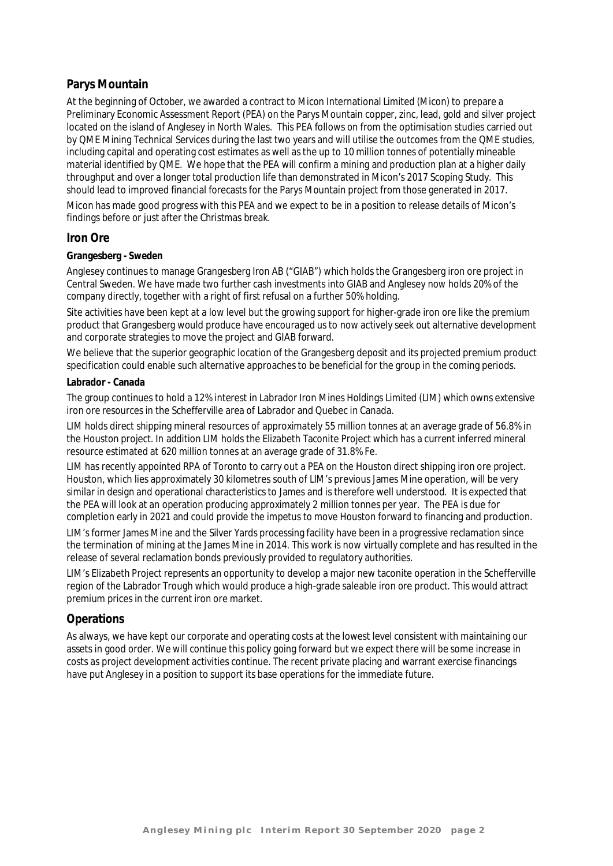## **Parys Mountain**

At the beginning of October, we awarded a contract to Micon International Limited (Micon) to prepare a Preliminary Economic Assessment Report (PEA) on the Parys Mountain copper, zinc, lead, gold and silver project located on the island of Anglesey in North Wales. This PEA follows on from the optimisation studies carried out by QME Mining Technical Services during the last two years and will utilise the outcomes from the QME studies, including capital and operating cost estimates as well as the up to 10 million tonnes of potentially mineable material identified by QME. We hope that the PEA will confirm a mining and production plan at a higher daily throughput and over a longer total production life than demonstrated in Micon's 2017 Scoping Study. This should lead to improved financial forecasts for the Parys Mountain project from those generated in 2017.

Micon has made good progress with this PEA and we expect to be in a position to release details of Micon's findings before or just after the Christmas break.

### **Iron Ore**

#### **Grangesberg - Sweden**

Anglesey continues to manage Grangesberg Iron AB ("GIAB") which holds the Grangesberg iron ore project in Central Sweden. We have made two further cash investments into GIAB and Anglesey now holds 20% of the company directly, together with a right of first refusal on a further 50% holding.

Site activities have been kept at a low level but the growing support for higher-grade iron ore like the premium product that Grangesberg would produce have encouraged us to now actively seek out alternative development and corporate strategies to move the project and GIAB forward.

We believe that the superior geographic location of the Grangesberg deposit and its projected premium product specification could enable such alternative approaches to be beneficial for the group in the coming periods.

#### **Labrador - Canada**

The group continues to hold a 12% interest in Labrador Iron Mines Holdings Limited (LIM) which owns extensive iron ore resources in the Schefferville area of Labrador and Quebec in Canada.

LIM holds direct shipping mineral resources of approximately 55 million tonnes at an average grade of 56.8% in the Houston project. In addition LIM holds the Elizabeth Taconite Project which has a current inferred mineral resource estimated at 620 million tonnes at an average grade of 31.8% Fe.

LIM has recently appointed RPA of Toronto to carry out a PEA on the Houston direct shipping iron ore project. Houston, which lies approximately 30 kilometres south of LIM's previous James Mine operation, will be very similar in design and operational characteristics to James and is therefore well understood. It is expected that the PEA will look at an operation producing approximately 2 million tonnes per year. The PEA is due for completion early in 2021 and could provide the impetus to move Houston forward to financing and production.

LIM's former James Mine and the Silver Yards processing facility have been in a progressive reclamation since the termination of mining at the James Mine in 2014. This work is now virtually complete and has resulted in the release of several reclamation bonds previously provided to regulatory authorities.

LIM's Elizabeth Project represents an opportunity to develop a major new taconite operation in the Schefferville region of the Labrador Trough which would produce a high-grade saleable iron ore product. This would attract premium prices in the current iron ore market.

### **Operations**

As always, we have kept our corporate and operating costs at the lowest level consistent with maintaining our assets in good order. We will continue this policy going forward but we expect there will be some increase in costs as project development activities continue. The recent private placing and warrant exercise financings have put Anglesey in a position to support its base operations for the immediate future.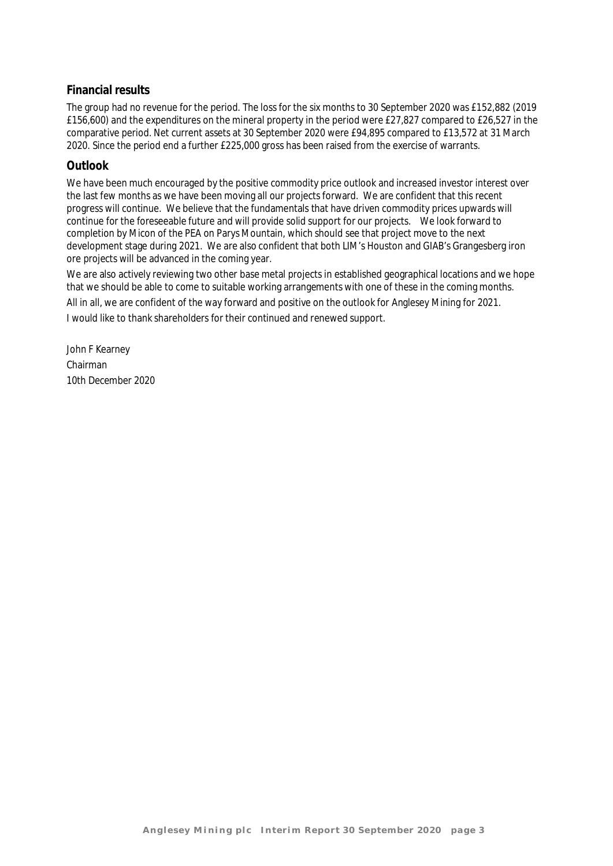## **Financial results**

The group had no revenue for the period. The loss for the six months to 30 September 2020 was £152,882 (2019 £156,600) and the expenditures on the mineral property in the period were £27,827 compared to £26,527 in the comparative period. Net current assets at 30 September 2020 were £94,895 compared to £13,572 at 31 March 2020. Since the period end a further £225,000 gross has been raised from the exercise of warrants.

## **Outlook**

We have been much encouraged by the positive commodity price outlook and increased investor interest over the last few months as we have been moving all our projects forward. We are confident that this recent progress will continue. We believe that the fundamentals that have driven commodity prices upwards will continue for the foreseeable future and will provide solid support for our projects. We look forward to completion by Micon of the PEA on Parys Mountain, which should see that project move to the next development stage during 2021. We are also confident that both LIM's Houston and GIAB's Grangesberg iron ore projects will be advanced in the coming year.

We are also actively reviewing two other base metal projects in established geographical locations and we hope that we should be able to come to suitable working arrangements with one of these in the coming months. All in all, we are confident of the way forward and positive on the outlook for Anglesey Mining for 2021. I would like to thank shareholders for their continued and renewed support.

John F Kearney Chairman 10th December 2020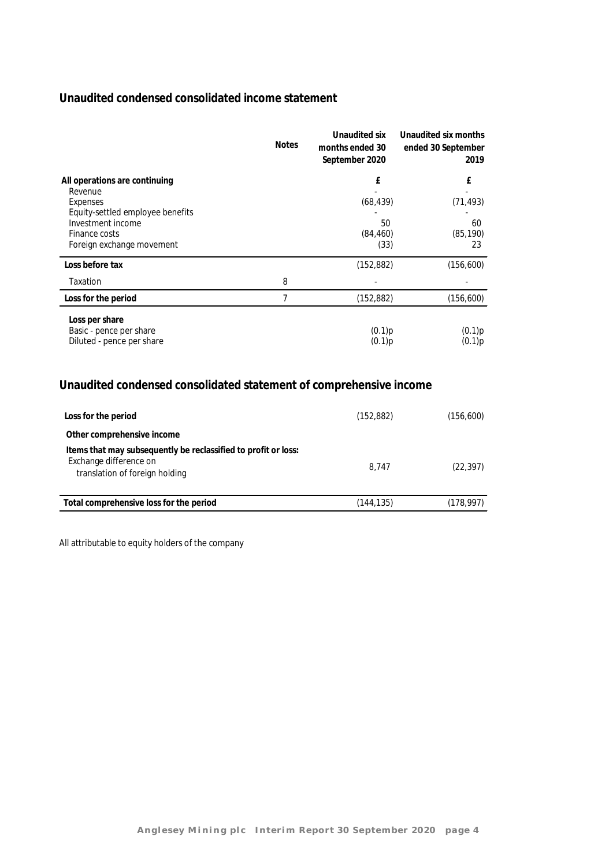## **Unaudited condensed consolidated income statement**

|                                                                                                                                                             | <b>Notes</b> | Unaudited six<br>months ended 30<br>September 2020 | Unaudited six months<br>ended 30 September<br>2019 |
|-------------------------------------------------------------------------------------------------------------------------------------------------------------|--------------|----------------------------------------------------|----------------------------------------------------|
| All operations are continuing<br>Revenue<br>Expenses<br>Equity-settled employee benefits<br>Investment income<br>Finance costs<br>Foreign exchange movement |              | £<br>(68, 439)<br>50<br>(84, 460)<br>(33)          | £<br>(71, 493)<br>60<br>(85, 190)<br>23            |
| Loss before tax                                                                                                                                             |              | (152, 882)                                         | (156, 600)                                         |
| Taxation                                                                                                                                                    | 8            |                                                    |                                                    |
| Loss for the period                                                                                                                                         | 7            | (152, 882)                                         | (156, 600)                                         |
| Loss per share<br>Basic - pence per share<br>Diluted - pence per share                                                                                      |              | (0.1)p<br>(0.1)p                                   | (0.1)p<br>(0.1)p                                   |

## **Unaudited condensed consolidated statement of comprehensive income**

| Loss for the period                                                                                                        | (152, 882) | (156, 600) |
|----------------------------------------------------------------------------------------------------------------------------|------------|------------|
| Other comprehensive income                                                                                                 |            |            |
| Items that may subsequently be reclassified to profit or loss:<br>Exchange difference on<br>translation of foreign holding | 8.747      | (22, 397)  |
| Total comprehensive loss for the period                                                                                    | (144.135)  | (178, 997) |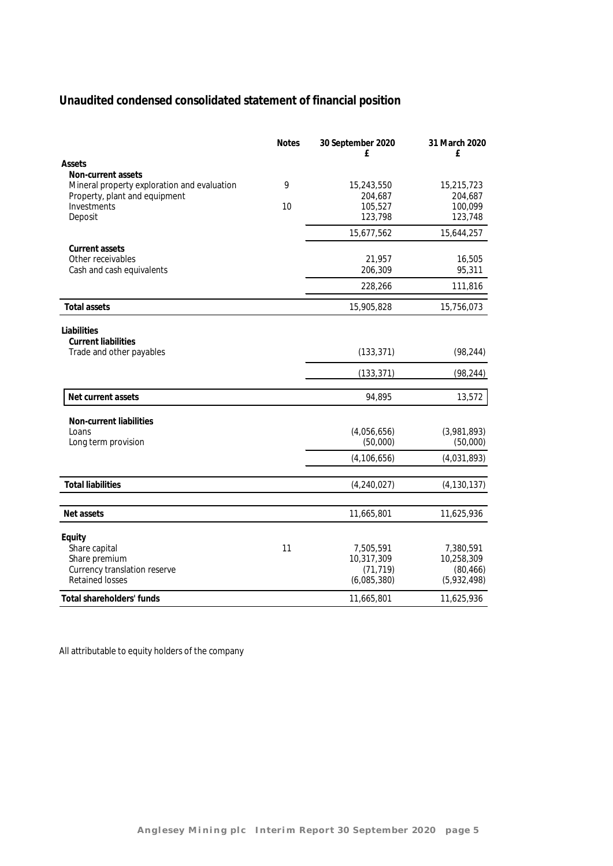## **Unaudited condensed consolidated statement of financial position**

|                                                                                                    | <b>Notes</b> | 30 September 2020<br>£  | 31 March 2020<br>£      |
|----------------------------------------------------------------------------------------------------|--------------|-------------------------|-------------------------|
| Assets                                                                                             |              |                         |                         |
| Non-current assets<br>Mineral property exploration and evaluation<br>Property, plant and equipment | 9            | 15,243,550<br>204,687   | 15,215,723<br>204,687   |
| Investments                                                                                        | 10           | 105,527                 | 100,099                 |
| Deposit                                                                                            |              | 123,798                 | 123,748                 |
|                                                                                                    |              | 15,677,562              | 15,644,257              |
| Current assets                                                                                     |              |                         |                         |
| Other receivables                                                                                  |              | 21,957                  | 16,505                  |
| Cash and cash equivalents                                                                          |              | 206,309                 | 95,311                  |
|                                                                                                    |              | 228,266                 | 111,816                 |
| <b>Total assets</b>                                                                                |              | 15,905,828              | 15,756,073              |
| Liabilities                                                                                        |              |                         |                         |
| <b>Current liabilities</b>                                                                         |              |                         |                         |
| Trade and other payables                                                                           |              | (133, 371)              | (98, 244)               |
|                                                                                                    |              | (133, 371)              | (98, 244)               |
|                                                                                                    |              |                         |                         |
| Net current assets                                                                                 |              | 94,895                  | 13,572                  |
| Non-current liabilities                                                                            |              |                         |                         |
| Loans                                                                                              |              | (4,056,656)             | (3,981,893)             |
| Long term provision                                                                                |              | (50,000)                | (50,000)                |
|                                                                                                    |              | (4, 106, 656)           | (4,031,893)             |
|                                                                                                    |              |                         |                         |
| <b>Total liabilities</b>                                                                           |              | (4, 240, 027)           | (4, 130, 137)           |
| Net assets                                                                                         |              | 11,665,801              | 11,625,936              |
|                                                                                                    |              |                         |                         |
| Equity                                                                                             |              |                         |                         |
| Share capital                                                                                      | 11           | 7,505,591               | 7,380,591               |
| Share premium<br>Currency translation reserve                                                      |              | 10,317,309<br>(71, 719) | 10,258,309<br>(80, 466) |
| <b>Retained losses</b>                                                                             |              | (6,085,380)             | (5,932,498)             |
| Total shareholders' funds                                                                          |              | 11,665,801              | 11,625,936              |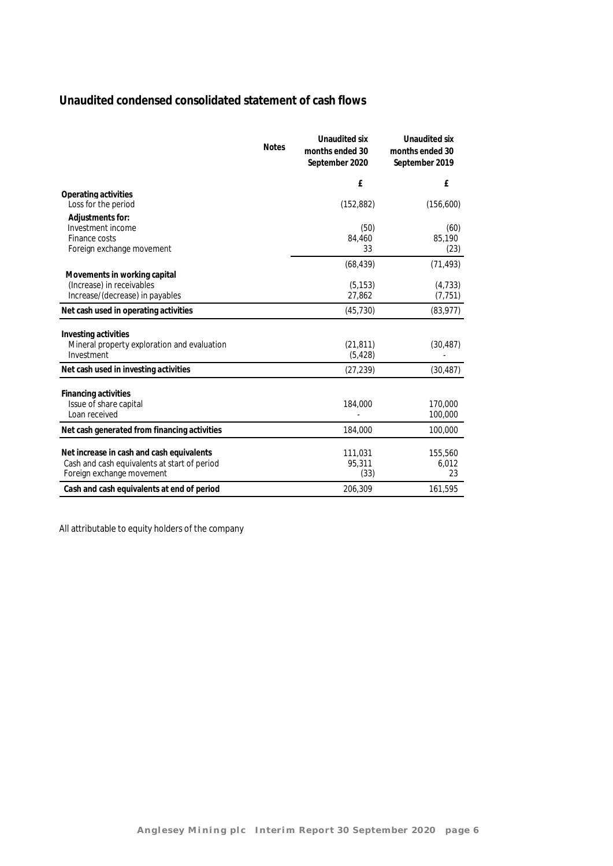## **Unaudited condensed consolidated statement of cash flows**

|                                                              | Notes | Unaudited six<br>months ended 30<br>September 2020 | Unaudited six<br>months ended 30<br>September 2019 |
|--------------------------------------------------------------|-------|----------------------------------------------------|----------------------------------------------------|
|                                                              |       | £                                                  | £                                                  |
| Operating activities<br>Loss for the period                  |       | (152, 882)                                         | (156,600)                                          |
| Adjustments for:                                             |       |                                                    |                                                    |
| Investment income                                            |       | (50)                                               | (60)                                               |
| Finance costs                                                |       | 84,460                                             | 85,190                                             |
| Foreign exchange movement                                    |       | 33                                                 | (23)                                               |
|                                                              |       | (68, 439)                                          | (71, 493)                                          |
| Movements in working capital                                 |       |                                                    |                                                    |
| (Increase) in receivables<br>Increase/(decrease) in payables |       | (5, 153)<br>27,862                                 | (4, 733)<br>(7, 751)                               |
|                                                              |       |                                                    |                                                    |
| Net cash used in operating activities                        |       | (45, 730)                                          | (83, 977)                                          |
| Investing activities                                         |       |                                                    |                                                    |
| Mineral property exploration and evaluation                  |       | (21, 811)                                          | (30, 487)                                          |
| Investment                                                   |       | (5, 428)                                           |                                                    |
| Net cash used in investing activities                        |       | (27, 239)                                          | (30, 487)                                          |
|                                                              |       |                                                    |                                                    |
| Financing activities<br>Issue of share capital               |       | 184,000                                            | 170,000                                            |
| Loan received                                                |       |                                                    | 100,000                                            |
|                                                              |       | 184,000                                            | 100,000                                            |
| Net cash generated from financing activities                 |       |                                                    |                                                    |
| Net increase in cash and cash equivalents                    |       | 111,031                                            | 155,560                                            |
| Cash and cash equivalents at start of period                 |       | 95,311                                             | 6,012                                              |
| Foreign exchange movement                                    |       | (33)                                               | 23                                                 |
| Cash and cash equivalents at end of period                   |       | 206,309                                            | 161,595                                            |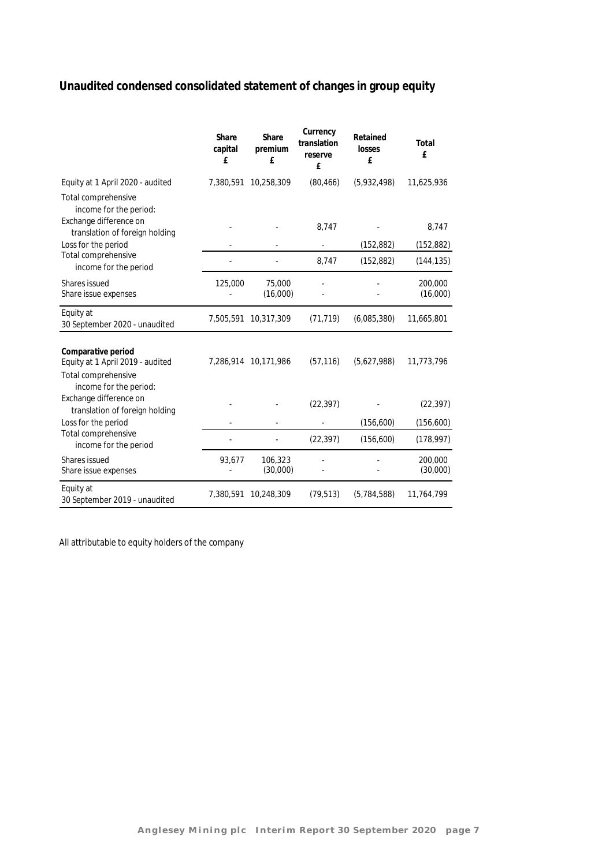## **Unaudited condensed consolidated statement of changes in group equity**

|                                                                                                         | Share<br>capital<br>£ | Share<br>premium<br>f | Currency<br>translation<br>reserve<br>£ | Retained<br>losses<br>f | Total<br>£          |
|---------------------------------------------------------------------------------------------------------|-----------------------|-----------------------|-----------------------------------------|-------------------------|---------------------|
| Equity at 1 April 2020 - audited                                                                        | 7,380,591             | 10,258,309            | (80, 466)                               | (5,932,498)             | 11,625,936          |
| Total comprehensive<br>income for the period:<br>Exchange difference on                                 |                       |                       | 8,747                                   |                         | 8,747               |
| translation of foreign holding                                                                          |                       |                       |                                         |                         |                     |
| Loss for the period<br>Total comprehensive                                                              |                       |                       |                                         | (152, 882)              | (152, 882)          |
| income for the period                                                                                   |                       |                       | 8,747                                   | (152, 882)              | (144, 135)          |
| Shares issued<br>Share issue expenses                                                                   | 125,000               | 75,000<br>(16,000)    |                                         |                         | 200,000<br>(16,000) |
| Equity at<br>30 September 2020 - unaudited                                                              | 7,505,591             | 10,317,309            | (71, 719)                               | (6,085,380)             | 11,665,801          |
| Comparative period<br>Equity at 1 April 2019 - audited<br>Total comprehensive<br>income for the period: |                       | 7,286,914 10,171,986  | (57, 116)                               | (5,627,988)             | 11,773,796          |
| Exchange difference on<br>translation of foreign holding                                                |                       |                       | (22, 397)                               |                         | (22, 397)           |
| Loss for the period                                                                                     |                       |                       |                                         | (156, 600)              | (156, 600)          |
| Total comprehensive<br>income for the period                                                            |                       |                       | (22, 397)                               | (156,600)               | (178, 997)          |
| Shares issued<br>Share issue expenses                                                                   | 93,677                | 106,323<br>(30,000)   |                                         |                         | 200,000<br>(30,000) |
| Equity at<br>30 September 2019 - unaudited                                                              | 7,380,591             | 10,248,309            | (79, 513)                               | (5,784,588)             | 11,764,799          |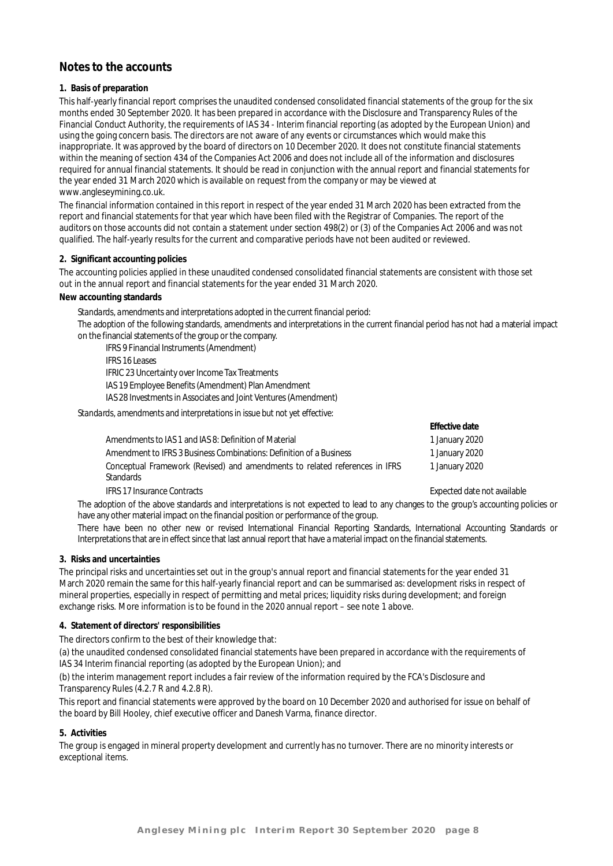## **Notes to the accounts**

#### **1. Basis of preparation**

This half-yearly financial report comprises the unaudited condensed consolidated financial statements of the group for the six months ended 30 September 2020. It has been prepared in accordance with the Disclosure and Transparency Rules of the Financial Conduct Authority, the requirements of IAS 34 - Interim financial reporting (as adopted by the European Union) and using the going concern basis. The directors are not aware of any events or circumstances which would make this inappropriate. It was approved by the board of directors on 10 December 2020. It does not constitute financial statements within the meaning of section 434 of the Companies Act 2006 and does not include all of the information and disclosures required for annual financial statements. It should be read in conjunction with the annual report and financial statements for the year ended 31 March 2020 which is available on request from the company or may be viewed at www.angleseymining.co.uk.

The financial information contained in this report in respect of the year ended 31 March 2020 has been extracted from the report and financial statements for that year which have been filed with the Registrar of Companies. The report of the auditors on those accounts did not contain a statement under section 498(2) or (3) of the Companies Act 2006 and was not qualified. The half-yearly results for the current and comparative periods have not been audited or reviewed.

#### **2. Significant accounting policies**

The accounting policies applied in these unaudited condensed consolidated financial statements are consistent with those set out in the annual report and financial statements for the year ended 31 March 2020.

**New accounting standards**

*Standards, amendments and interpretations adopted in the current financial period:*

The adoption of the following standards, amendments and interpretations in the current financial period has not had a material impact on the financial statements of the group or the company.

IFRS 9 Financial Instruments (Amendment)

IFRS 16 Leases IFRIC 23 Uncertainty over Income Tax Treatments IAS 19 Employee Benefits (Amendment) Plan Amendment

IAS 28 Investments in Associates and Joint Ventures (Amendment)

*Standards, amendments and interpretations in issue but not yet effective:*

|                                                                             | Effective date |
|-----------------------------------------------------------------------------|----------------|
| Amendments to IAS 1 and IAS 8: Definition of Material                       | 1 January 2020 |
| Amendment to IFRS 3 Business Combinations: Definition of a Business         | 1 January 2020 |
| Conceptual Framework (Revised) and amendments to related references in IFRS | 1 January 2020 |
| Standards                                                                   |                |

IFRS 17 Insurance Contracts Expected date not available

The adoption of the above standards and interpretations is not expected to lead to any changes to the group's accounting policies or have any other material impact on the financial position or performance of the group.

There have been no other new or revised International Financial Reporting Standards, International Accounting Standards or Interpretations that are in effect since that last annual report that have a material impact on the financial statements.

**3. Risks and uncertainties**

The principal risks and uncertainties set out in the group's annual report and financial statements for the year ended 31 March 2020 remain the same for this half-yearly financial report and can be summarised as: development risks in respect of mineral properties, especially in respect of permitting and metal prices; liquidity risks during development; and foreign exchange risks. More information is to be found in the 2020 annual report – see note 1 above.

#### **4. Statement of directors' responsibilities**

The directors confirm to the best of their knowledge that:

(a) the unaudited condensed consolidated financial statements have been prepared in accordance with the requirements of IAS 34 Interim financial reporting (as adopted by the European Union); and

(b) the interim management report includes a fair review of the information required by the FCA's Disclosure and Transparency Rules (4.2.7 R and 4.2.8 R).

This report and financial statements were approved by the board on 10 December 2020 and authorised for issue on behalf of the board by Bill Hooley, chief executive officer and Danesh Varma, finance director.

#### **5. Activities**

The group is engaged in mineral property development and currently has no turnover. There are no minority interests or exceptional items.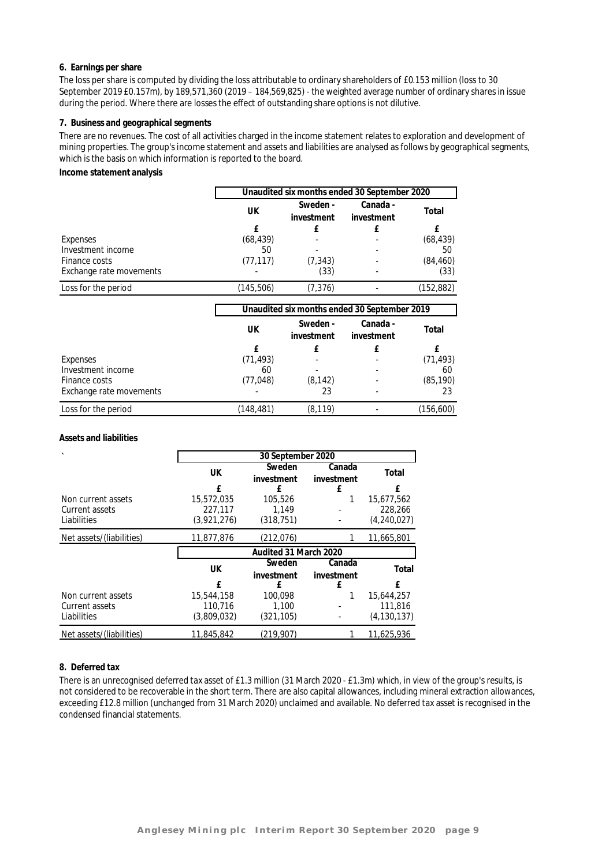#### **6. Earnings per share**

The loss per share is computed by dividing the loss attributable to ordinary shareholders of £0.153 million (loss to 30 September 2019 £0.157m), by 189,571,360 (2019 – 184,569,825) - the weighted average number of ordinary shares in issue during the period. Where there are losses the effect of outstanding share options is not dilutive.

#### **7. Business and geographical segments**

There are no revenues. The cost of all activities charged in the income statement relates to exploration and development of mining properties. The group's income statement and assets and liabilities are analysed as follows by geographical segments, which is the basis on which information is reported to the board.

#### **Income statement analysis**

|                         |                                              |                        | Unaudited six months ended 30 September 2020 |            |  |
|-------------------------|----------------------------------------------|------------------------|----------------------------------------------|------------|--|
|                         | UK                                           | Sweden -<br>investment | Canada -<br>investment                       | Total      |  |
|                         | f                                            | £                      | £                                            | f          |  |
| Expenses                | (68, 439)                                    |                        |                                              | (68, 439)  |  |
| Investment income       | 50                                           |                        |                                              | 50         |  |
| Finance costs           | (77, 117)                                    | (7, 343)               |                                              | (84, 460)  |  |
| Exchange rate movements |                                              | (33)                   |                                              | (33)       |  |
| Loss for the period     | (145, 506)                                   | (7, 376)               |                                              | (152, 882) |  |
|                         | Unaudited six months ended 30 September 2019 |                        |                                              |            |  |
|                         | UK                                           | Sweden -<br>investment | Canada -<br>investment                       | Total      |  |

|                         |            | investment               | investment |            |
|-------------------------|------------|--------------------------|------------|------------|
|                         |            |                          |            |            |
| Expenses                | (71, 493)  | $\overline{\phantom{a}}$ |            | (71, 493)  |
| Investment income       | 60         |                          |            | 60         |
| Finance costs           | (77, 048)  | (8.142)                  |            | (85, 190)  |
| Exchange rate movements |            | 23                       |            | 23         |
| Loss for the period     | (148, 481) | (8, 119)                 |            | (156, 600) |

#### **Assets and liabilities**

|                          | 30 September 2020     |            |            |               |  |
|--------------------------|-----------------------|------------|------------|---------------|--|
|                          | UK                    | Sweden     | Canada     | Total         |  |
|                          |                       | investment | investment |               |  |
|                          | f                     | £          | £          | f             |  |
| Non current assets       | 15,572,035            | 105,526    |            | 15,677,562    |  |
| Current assets           | 227.117               | 1,149      |            | 228,266       |  |
| Liabilities              | (3,921,276)           | (318, 751) |            | (4,240,027)   |  |
| Net assets/(liabilities) | 11,877,876            | (212,076)  |            | 11,665,801    |  |
|                          | Audited 31 March 2020 |            |            |               |  |
|                          | UK                    | Sweden     | Canada     | Total         |  |
|                          |                       | investment | investment |               |  |
|                          | f                     | £          | f          | f             |  |
| Non current assets       | 15,544,158            | 100.098    |            | 15,644,257    |  |
| Current assets           | 110.716               | 1.100      |            | 111.816       |  |
| Liabilities              | (3,809,032)           | (321, 105) |            | (4, 130, 137) |  |
| Net assets/(liabilities) | 11,845,842            | (219,907)  |            | 11,625,936    |  |

#### **8. Deferred tax**

There is an unrecognised deferred tax asset of £1.3 million (31 March 2020 - £1.3m) which, in view of the group's results, is not considered to be recoverable in the short term. There are also capital allowances, including mineral extraction allowances, exceeding £12.8 million (unchanged from 31 March 2020) unclaimed and available. No deferred tax asset is recognised in the condensed financial statements.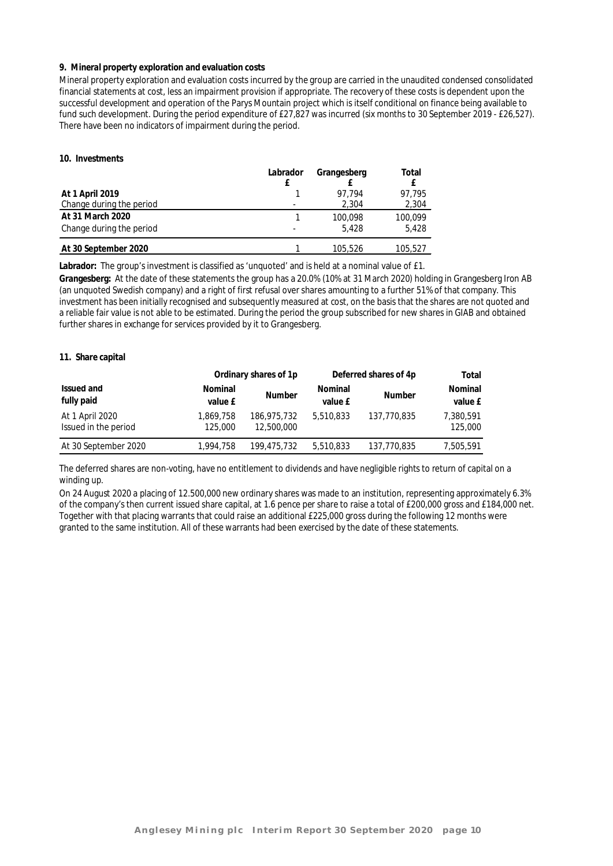#### **9. Mineral property exploration and evaluation costs**

Mineral property exploration and evaluation costs incurred by the group are carried in the unaudited condensed consolidated financial statements at cost, less an impairment provision if appropriate. The recovery of these costs is dependent upon the successful development and operation of the Parys Mountain project which is itself conditional on finance being available to fund such development. During the period expenditure of £27,827 was incurred (six months to 30 September 2019 - £26,527). There have been no indicators of impairment during the period.

#### **10. Investments**

|                          | Labrador | Grangesberg | Total   |
|--------------------------|----------|-------------|---------|
| At 1 April 2019          |          | 97.794      | 97.795  |
| Change during the period |          | 2,304       | 2,304   |
| At 31 March 2020         |          | 100.098     | 100,099 |
| Change during the period |          | 5.428       | 5.428   |
| At 30 September 2020     |          | 105,526     | 105,527 |

**Labrador:** The group's investment is classified as 'unquoted' and is held at a nominal value of £1.

**Grangesberg:** At the date of these statements the group has a 20.0% (10% at 31 March 2020) holding in Grangesberg Iron AB (an unquoted Swedish company) and a right of first refusal over shares amounting to a further 51% of that company. This investment has been initially recognised and subsequently measured at cost, on the basis that the shares are not quoted and a reliable fair value is not able to be estimated. During the period the group subscribed for new shares in GIAB and obtained further shares in exchange for services provided by it to Grangesberg.

#### **11. Share capital**

|                                         |                      | Ordinary shares of 1p     |                    | Deferred shares of 4p |                      |
|-----------------------------------------|----------------------|---------------------------|--------------------|-----------------------|----------------------|
| Issued and<br>fully paid                | Nominal<br>value £   | <b>Number</b>             | Nominal<br>value £ | <b>Number</b>         | Nominal<br>value £   |
| At 1 April 2020<br>Issued in the period | 1,869,758<br>125,000 | 186,975,732<br>12,500,000 | 5,510,833          | 137.770.835           | 7,380,591<br>125,000 |
| At 30 September 2020                    | 1,994,758            | 199,475,732               | 5,510,833          | 137,770,835           | 7.505.591            |

The deferred shares are non-voting, have no entitlement to dividends and have negligible rights to return of capital on a winding up.

On 24 August 2020 a placing of 12.500,000 new ordinary shares was made to an institution, representing approximately 6.3% of the company's then current issued share capital, at 1.6 pence per share to raise a total of £200,000 gross and £184,000 net. Together with that placing warrants that could raise an additional £225,000 gross during the following 12 months were granted to the same institution. All of these warrants had been exercised by the date of these statements.